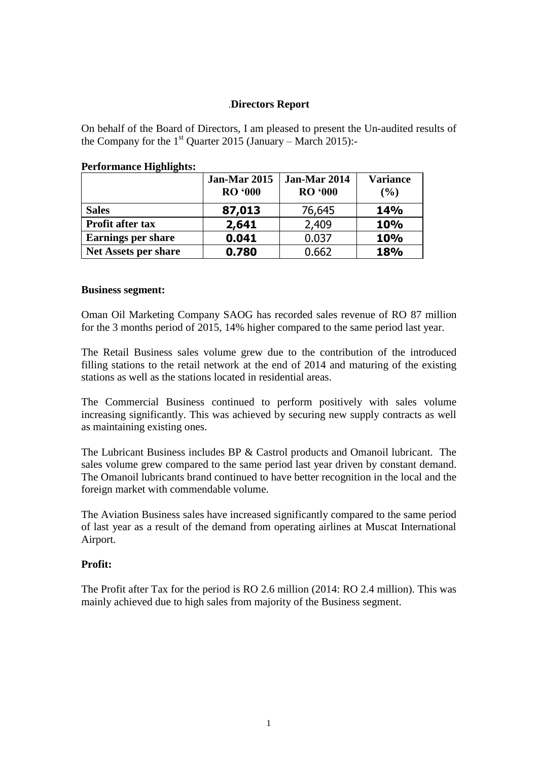## .**Directors Report**

On behalf of the Board of Directors, I am pleased to present the Un-audited results of the Company for the  $1<sup>st</sup>$  Quarter 2015 (January – March 2015):-

|                             | Jan-Mar 2015<br><b>RO</b> '000 | Jan-Mar 2014<br><b>RO</b> '000 | <b>Variance</b><br>$\frac{9}{6}$ |
|-----------------------------|--------------------------------|--------------------------------|----------------------------------|
| <b>Sales</b>                | 87,013                         | 76,645                         | <b>14%</b>                       |
| Profit after tax            | 2,641                          | 2,409                          | 10%                              |
| <b>Earnings per share</b>   | 0.041                          | 0.037                          | <b>10%</b>                       |
| <b>Net Assets per share</b> | 0.780                          | 0.662                          | 18%                              |

### **Performance Highlights:**

#### **Business segment:**

Oman Oil Marketing Company SAOG has recorded sales revenue of RO 87 million for the 3 months period of 2015, 14% higher compared to the same period last year.

The Retail Business sales volume grew due to the contribution of the introduced filling stations to the retail network at the end of 2014 and maturing of the existing stations as well as the stations located in residential areas.

The Commercial Business continued to perform positively with sales volume increasing significantly. This was achieved by securing new supply contracts as well as maintaining existing ones.

The Lubricant Business includes BP & Castrol products and Omanoil lubricant. The sales volume grew compared to the same period last year driven by constant demand. The Omanoil lubricants brand continued to have better recognition in the local and the foreign market with commendable volume.

The Aviation Business sales have increased significantly compared to the same period of last year as a result of the demand from operating airlines at Muscat International Airport.

### **Profit:**

The Profit after Tax for the period is RO 2.6 million (2014: RO 2.4 million). This was mainly achieved due to high sales from majority of the Business segment.